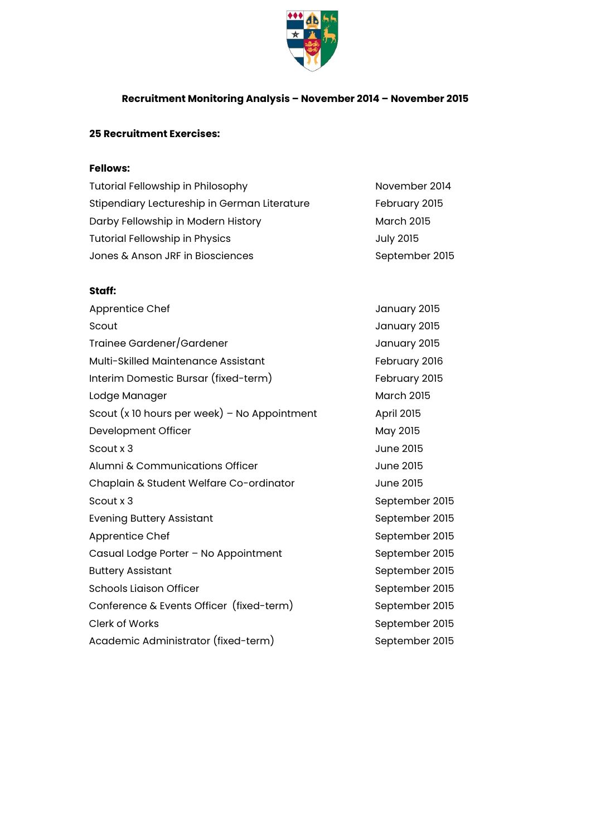

## **Recruitment Monitoring Analysis – November 2014 – November 2015**

## **25 Recruitment Exercises:**

## **Fellows:**

| <b>Tutorial Fellowship in Philosophy</b>     | November 2014     |
|----------------------------------------------|-------------------|
| Stipendiary Lectureship in German Literature | February 2015     |
| Darby Fellowship in Modern History           | <b>March 2015</b> |
| <b>Tutorial Fellowship in Physics</b>        | <b>July 2015</b>  |
| Jones & Anson JRF in Biosciences             | September 2015    |

## **Staff:**

| Apprentice Chef                                | January 2015      |
|------------------------------------------------|-------------------|
| Scout                                          | January 2015      |
| Trainee Gardener/Gardener                      | January 2015      |
| Multi-Skilled Maintenance Assistant            | February 2016     |
| Interim Domestic Bursar (fixed-term)           | February 2015     |
| Lodge Manager                                  | <b>March 2015</b> |
| Scout $(x 10$ hours per week) – No Appointment | April 2015        |
| Development Officer                            | May 2015          |
| Scout x 3                                      | <b>June 2015</b>  |
| Alumni & Communications Officer                | <b>June 2015</b>  |
| Chaplain & Student Welfare Co-ordinator        | <b>June 2015</b>  |
| Scout x 3                                      | September 2015    |
| <b>Evening Buttery Assistant</b>               | September 2015    |
| Apprentice Chef                                | September 2015    |
| Casual Lodge Porter - No Appointment           | September 2015    |
| <b>Buttery Assistant</b>                       | September 2015    |
| <b>Schools Liaison Officer</b>                 | September 2015    |
| Conference & Events Officer (fixed-term)       | September 2015    |
| <b>Clerk of Works</b>                          | September 2015    |
| Academic Administrator (fixed-term)            | September 2015    |
|                                                |                   |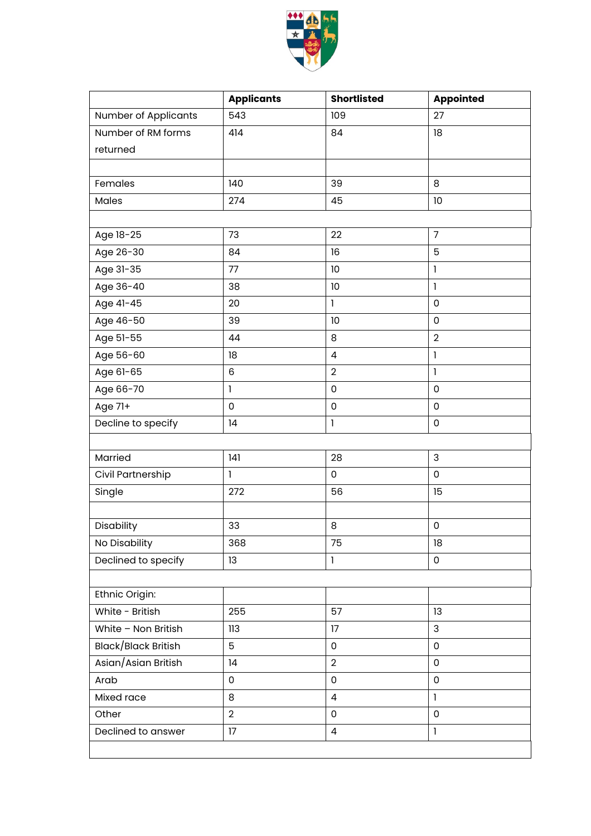

|                             | <b>Applicants</b> | <b>Shortlisted</b>  | <b>Appointed</b>    |  |  |  |
|-----------------------------|-------------------|---------------------|---------------------|--|--|--|
| <b>Number of Applicants</b> | 543               | 109                 | 27                  |  |  |  |
| Number of RM forms          | 414               | 84                  | 18                  |  |  |  |
| returned                    |                   |                     |                     |  |  |  |
|                             |                   |                     |                     |  |  |  |
| Females                     | 140               | 39                  | 8                   |  |  |  |
| Males                       | 274               | 45                  | 10                  |  |  |  |
|                             |                   |                     |                     |  |  |  |
| Age 18-25                   | 73                | 22                  | $\overline{7}$      |  |  |  |
| Age 26-30                   | 84                | 16                  | 5                   |  |  |  |
| Age 31-35                   | 77                | 10                  | $\mathbf{I}$        |  |  |  |
| Age 36-40                   | 38                | 10                  | $\mathbf{I}$        |  |  |  |
| Age 41-45                   | 20                | $\mathbf{I}$        | $\mathsf 0$         |  |  |  |
| Age 46-50                   | 39                | 10                  | $\mathsf 0$         |  |  |  |
| Age 51-55                   | 44                | 8                   | $\overline{2}$      |  |  |  |
| Age 56-60                   | 18                | $\overline{4}$      | 1                   |  |  |  |
| Age 61-65                   | 6                 | $\overline{2}$      | $\mathbf{I}$        |  |  |  |
| Age 66-70                   | $\mathbf{I}$      | $\pmb{0}$           | 0                   |  |  |  |
| Age 71+                     | $\mathsf 0$       | $\mathbf 0$         | 0                   |  |  |  |
| Decline to specify          | 4                 | $\mathbf{I}$        | $\mathsf 0$         |  |  |  |
|                             |                   |                     |                     |  |  |  |
| Married                     | 141               | 28                  | 3                   |  |  |  |
| Civil Partnership           | $\mathbf{I}$      | $\mathsf 0$         | $\mathsf 0$         |  |  |  |
| Single                      | 272               | 56                  | 15                  |  |  |  |
|                             |                   |                     |                     |  |  |  |
| Disability                  | 33                | 8                   | $\mathsf{O}\xspace$ |  |  |  |
| No Disability               | 368               | 75                  | 18                  |  |  |  |
| Declined to specify         | 13                | $\mathbf{I}$        | 0                   |  |  |  |
|                             |                   |                     |                     |  |  |  |
| Ethnic Origin:              |                   |                     |                     |  |  |  |
| White - British             | 255               | 57                  | 13                  |  |  |  |
| White - Non British         | 113               | 17                  | 3                   |  |  |  |
| Black/Black British         | 5                 | $\mathsf{O}\xspace$ | $\mathsf 0$         |  |  |  |
| Asian/Asian British         | 14                | $\overline{2}$      | $\mathsf 0$         |  |  |  |
| Arab                        | $\overline{0}$    | $\mathbf 0$         | $\mathbf 0$         |  |  |  |
| Mixed race                  | 8                 | $\overline{4}$      | $\mathbf{I}$        |  |  |  |
| Other                       | $\overline{2}$    | $\mathbf 0$         | $\mathsf 0$         |  |  |  |
| Declined to answer          | 17                | $\overline{4}$      | $\mathbf{I}$        |  |  |  |
|                             |                   |                     |                     |  |  |  |